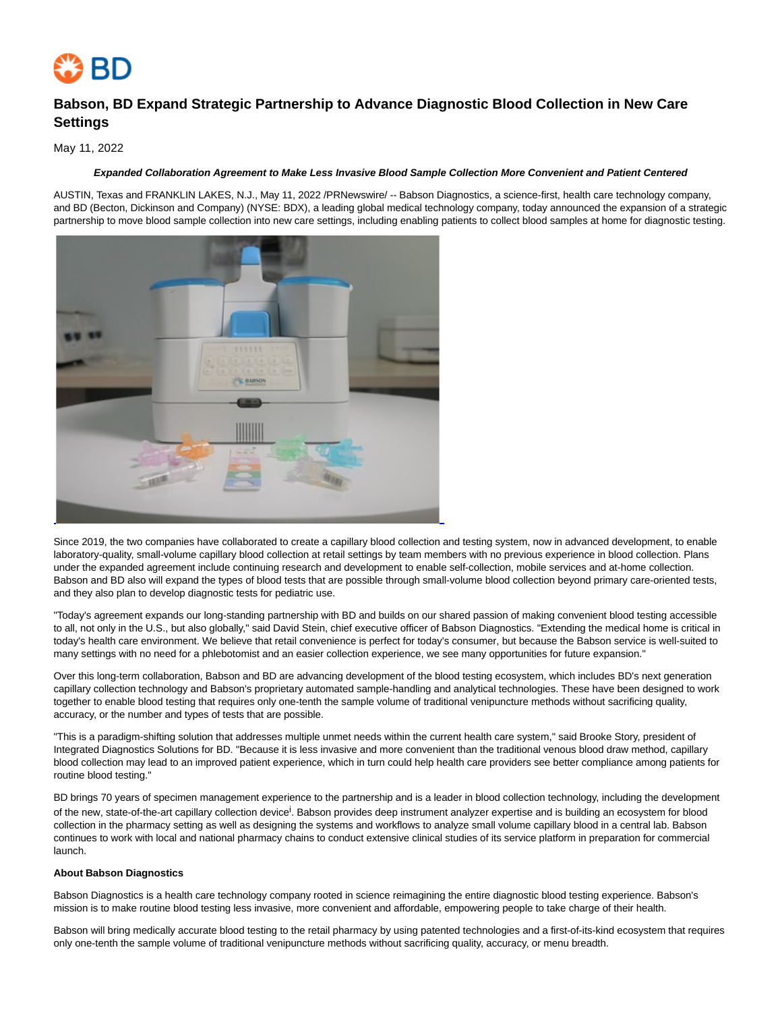

# **Babson, BD Expand Strategic Partnership to Advance Diagnostic Blood Collection in New Care Settings**

## May 11, 2022

### **Expanded Collaboration Agreement to Make Less Invasive Blood Sample Collection More Convenient and Patient Centered**

AUSTIN, Texas and FRANKLIN LAKES, N.J., May 11, 2022 /PRNewswire/ -- Babson Diagnostics, a science-first, health care technology company, and BD (Becton, Dickinson and Company) (NYSE: BDX), a leading global medical technology company, today announced the expansion of a strategic partnership to move blood sample collection into new care settings, including enabling patients to collect blood samples at home for diagnostic testing.



Since 2019, the two companies have collaborated to create a capillary blood collection and testing system, now in advanced development, to enable laboratory-quality, small-volume capillary blood collection at retail settings by team members with no previous experience in blood collection. Plans under the expanded agreement include continuing research and development to enable self-collection, mobile services and at-home collection. Babson and BD also will expand the types of blood tests that are possible through small-volume blood collection beyond primary care-oriented tests, and they also plan to develop diagnostic tests for pediatric use.

"Today's agreement expands our long-standing partnership with BD and builds on our shared passion of making convenient blood testing accessible to all, not only in the U.S., but also globally," said David Stein, chief executive officer of Babson Diagnostics. "Extending the medical home is critical in today's health care environment. We believe that retail convenience is perfect for today's consumer, but because the Babson service is well-suited to many settings with no need for a phlebotomist and an easier collection experience, we see many opportunities for future expansion."

Over this long-term collaboration, Babson and BD are advancing development of the blood testing ecosystem, which includes BD's next generation capillary collection technology and Babson's proprietary automated sample-handling and analytical technologies. These have been designed to work together to enable blood testing that requires only one-tenth the sample volume of traditional venipuncture methods without sacrificing quality, accuracy, or the number and types of tests that are possible.

"This is a paradigm-shifting solution that addresses multiple unmet needs within the current health care system," said Brooke Story, president of Integrated Diagnostics Solutions for BD. "Because it is less invasive and more convenient than the traditional venous blood draw method, capillary blood collection may lead to an improved patient experience, which in turn could help health care providers see better compliance among patients for routine blood testing."

BD brings 70 years of specimen management experience to the partnership and is a leader in blood collection technology, including the development of the new, state-of-the-art capillary collection device<sup>i</sup>. Babson provides deep instrument analyzer expertise and is building an ecosystem for blood collection in the pharmacy setting as well as designing the systems and workflows to analyze small volume capillary blood in a central lab. Babson continues to work with local and national pharmacy chains to conduct extensive clinical studies of its service platform in preparation for commercial launch.

#### **About Babson Diagnostics**

Babson Diagnostics is a health care technology company rooted in science reimagining the entire diagnostic blood testing experience. Babson's mission is to make routine blood testing less invasive, more convenient and affordable, empowering people to take charge of their health.

Babson will bring medically accurate blood testing to the retail pharmacy by using patented technologies and a first-of-its-kind ecosystem that requires only one-tenth the sample volume of traditional venipuncture methods without sacrificing quality, accuracy, or menu breadth.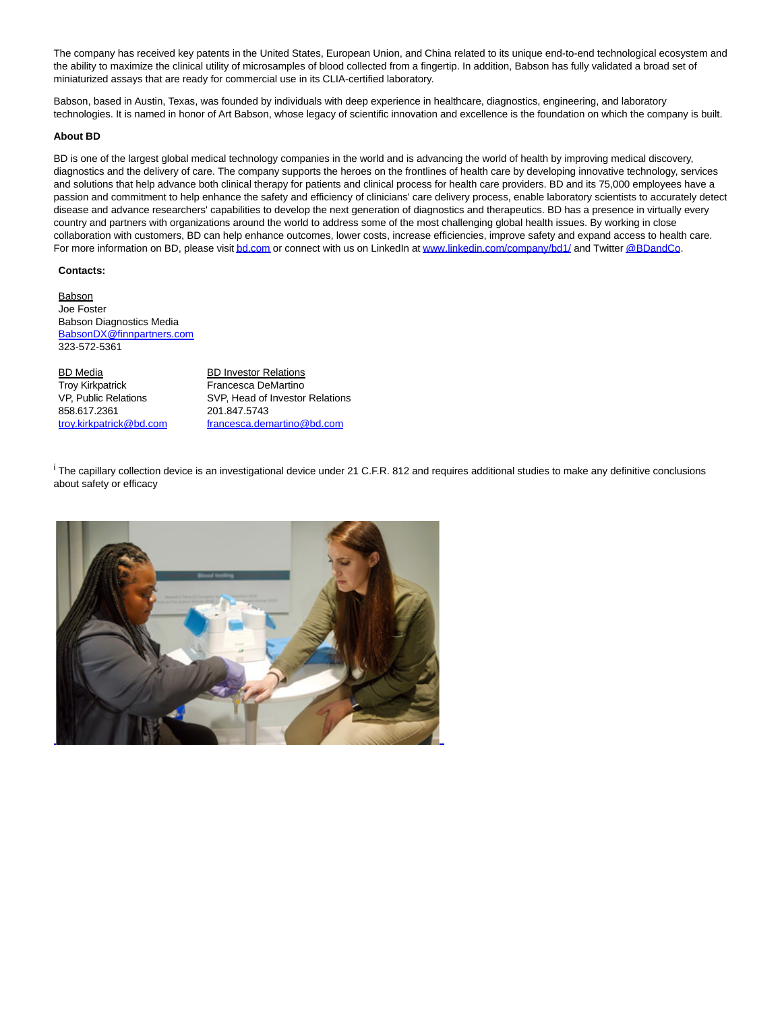The company has received key patents in the United States, European Union, and China related to its unique end-to-end technological ecosystem and the ability to maximize the clinical utility of microsamples of blood collected from a fingertip. In addition, Babson has fully validated a broad set of miniaturized assays that are ready for commercial use in its CLIA-certified laboratory.

Babson, based in Austin, Texas, was founded by individuals with deep experience in healthcare, diagnostics, engineering, and laboratory technologies. It is named in honor of Art Babson, whose legacy of scientific innovation and excellence is the foundation on which the company is built.

#### **About BD**

BD is one of the largest global medical technology companies in the world and is advancing the world of health by improving medical discovery, diagnostics and the delivery of care. The company supports the heroes on the frontlines of health care by developing innovative technology, services and solutions that help advance both clinical therapy for patients and clinical process for health care providers. BD and its 75,000 employees have a passion and commitment to help enhance the safety and efficiency of clinicians' care delivery process, enable laboratory scientists to accurately detect disease and advance researchers' capabilities to develop the next generation of diagnostics and therapeutics. BD has a presence in virtually every country and partners with organizations around the world to address some of the most challenging global health issues. By working in close collaboration with customers, BD can help enhance outcomes, lower costs, increase efficiencies, improve safety and expand access to health care. For more information on BD, please visi[t bd.com o](https://c212.net/c/link/?t=0&l=en&o=3532274-1&h=3928334379&u=http%3A%2F%2Fwww.bd.com%2F&a=bd.com)r connect with us on LinkedIn a[t www.linkedin.com/company/bd1/ a](https://c212.net/c/link/?t=0&l=en&o=3532274-1&h=2291560583&u=http%3A%2F%2Fwww.linkedin.com%2Fcompany%2Fbd1%2F&a=www.linkedin.com%2Fcompany%2Fbd1%2F)nd Twitte[r @BDandCo.](https://c212.net/c/link/?t=0&l=en&o=3532274-1&h=68831005&u=https%3A%2F%2Ftwitter.com%2Fbdandco&a=%40BDandCo)

#### **Contacts:**

**Babson** Joe Foster Babson Diagnostics Media [BabsonDX@finnpartners.com](mailto:BabsonDX@finnpartners.com) 323-572-5361

BD Media BD Investor Relations Troy Kirkpatrick Francesca DeMartino 858.617.2361 201.847.5743

VP, Public Relations SVP, Head of Investor Relations [troy.kirkpatrick@bd.com](mailto:troy.kirkpatrick@bd.com) [francesca.demartino@bd.com](mailto:francesca.demartino@bd.com)

i The capillary collection device is an investigational device under 21 C.F.R. 812 and requires additional studies to make any definitive conclusions about safety or efficacy